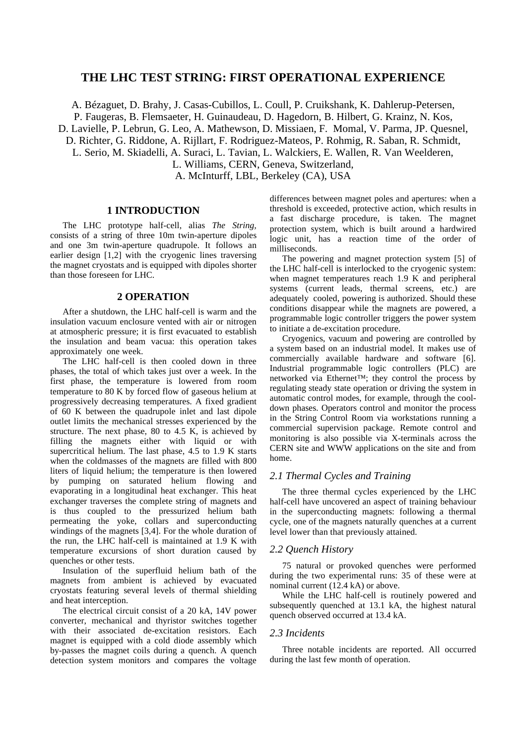# **THE LHC TEST STRING: FIRST OPERATIONAL EXPERIENCE**

A. Bézaguet, D. Brahy, J. Casas-Cubillos, L. Coull, P. Cruikshank, K. Dahlerup-Petersen, P. Faugeras, B. Flemsaeter, H. Guinaudeau, D. Hagedorn, B. Hilbert, G. Krainz, N. Kos, D. Lavielle, P. Lebrun, G. Leo, A. Mathewson, D. Missiaen, F. Momal, V. Parma, JP. Quesnel, D. Richter, G. Riddone, A. Rijllart, F. Rodriguez-Mateos, P. Rohmig, R. Saban, R. Schmidt, L. Serio, M. Skiadelli, A. Suraci, L. Tavian, L. Walckiers, E. Wallen, R. Van Weelderen, L. Williams, CERN, Geneva, Switzerland, A. McInturff, LBL, Berkeley (CA), USA

#### **1 INTRODUCTION**

The LHC prototype half-cell, alias *The String,* consists of a string of three 10m twin-aperture dipoles and one 3m twin-aperture quadrupole. It follows an earlier design [1,2] with the cryogenic lines traversing the magnet cryostats and is equipped with dipoles shorter than those foreseen for LHC.

# **2 OPERATION**

After a shutdown, the LHC half-cell is warm and the insulation vacuum enclosure vented with air or nitrogen at atmospheric pressure; it is first evacuated to establish the insulation and beam vacua: this operation takes approximately one week.

The LHC half-cell is then cooled down in three phases, the total of which takes just over a week. In the first phase, the temperature is lowered from room temperature to 80 K by forced flow of gaseous helium at progressively decreasing temperatures. A fixed gradient of 60 K between the quadrupole inlet and last dipole outlet limits the mechanical stresses experienced by the structure. The next phase, 80 to 4.5 K, is achieved by filling the magnets either with liquid or with supercritical helium. The last phase, 4.5 to 1.9 K starts when the coldmasses of the magnets are filled with 800 liters of liquid helium; the temperature is then lowered by pumping on saturated helium flowing and evaporating in a longitudinal heat exchanger. This heat exchanger traverses the complete string of magnets and is thus coupled to the pressurized helium bath permeating the yoke, collars and superconducting windings of the magnets [3,4]. For the whole duration of the run, the LHC half-cell is maintained at 1.9 K with temperature excursions of short duration caused by quenches or other tests.

Insulation of the superfluid helium bath of the magnets from ambient is achieved by evacuated cryostats featuring several levels of thermal shielding and heat interception.

The electrical circuit consist of a 20 kA, 14V power converter, mechanical and thyristor switches together with their associated de-excitation resistors. Each magnet is equipped with a cold diode assembly which by-passes the magnet coils during a quench. A quench detection system monitors and compares the voltage differences between magnet poles and apertures: when a threshold is exceeded, protective action, which results in a fast discharge procedure, is taken. The magnet protection system, which is built around a hardwired logic unit, has a reaction time of the order of milliseconds.

The powering and magnet protection system [5] of the LHC half-cell is interlocked to the cryogenic system: when magnet temperatures reach 1.9 K and peripheral systems (current leads, thermal screens, etc.) are adequately cooled, powering is authorized. Should these conditions disappear while the magnets are powered, a programmable logic controller triggers the power system to initiate a de-excitation procedure.

Cryogenics, vacuum and powering are controlled by a system based on an industrial model. It makes use of commercially available hardware and software [6]. Industrial programmable logic controllers (PLC) are networked via Ethernet™; they control the process by regulating steady state operation or driving the system in automatic control modes, for example, through the cooldown phases. Operators control and monitor the process in the String Control Room via workstations running a commercial supervision package. Remote control and monitoring is also possible via X-terminals across the CERN site and WWW applications on the site and from home.

#### *2.1 Thermal Cycles and Training*

The three thermal cycles experienced by the LHC half-cell have uncovered an aspect of training behaviour in the superconducting magnets: following a thermal cycle, one of the magnets naturally quenches at a current level lower than that previously attained.

#### *2.2 Quench History*

75 natural or provoked quenches were performed during the two experimental runs: 35 of these were at nominal current (12.4 kA) or above.

While the LHC half-cell is routinely powered and subsequently quenched at 13.1 kA, the highest natural quench observed occurred at 13.4 kA.

#### *2.3 Incidents*

Three notable incidents are reported. All occurred during the last few month of operation.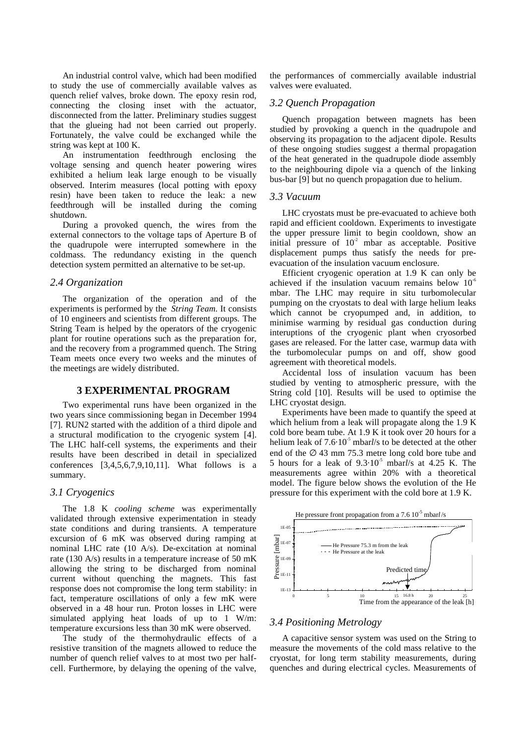An industrial control valve, which had been modified to study the use of commercially available valves as quench relief valves, broke down. The epoxy resin rod, connecting the closing inset with the actuator, disconnected from the latter. Preliminary studies suggest that the glueing had not been carried out properly. Fortunately, the valve could be exchanged while the string was kept at 100 K.

An instrumentation feedthrough enclosing the voltage sensing and quench heater powering wires exhibited a helium leak large enough to be visually observed. Interim measures (local potting with epoxy resin) have been taken to reduce the leak: a new feedthrough will be installed during the coming shutdown.

During a provoked quench, the wires from the external connectors to the voltage taps of Aperture B of the quadrupole were interrupted somewhere in the coldmass. The redundancy existing in the quench detection system permitted an alternative to be set-up.

# *2.4 Organization*

The organization of the operation and of the experiments is performed by the *String Team*. It consists of 10 engineers and scientists from different groups. The String Team is helped by the operators of the cryogenic plant for routine operations such as the preparation for, and the recovery from a programmed quench. The String Team meets once every two weeks and the minutes of the meetings are widely distributed.

#### **3 EXPERIMENTAL PROGRAM**

Two experimental runs have been organized in the two years since commissioning began in December 1994 [7]. RUN2 started with the addition of a third dipole and a structural modification to the cryogenic system [4]. The LHC half-cell systems, the experiments and their results have been described in detail in specialized conferences [3,4,5,6,7,9,10,11]. What follows is a summary.

#### *3.1 Cryogenics*

The 1.8 K *cooling scheme* was experimentally validated through extensive experimentation in steady state conditions and during transients. A temperature excursion of 6 mK was observed during ramping at nominal LHC rate (10 A/s). De-excitation at nominal rate (130 A/s) results in a temperature increase of 50 mK allowing the string to be discharged from nominal current without quenching the magnets. This fast response does not compromise the long term stability: in fact, temperature oscillations of only a few mK were observed in a 48 hour run. Proton losses in LHC were simulated applying heat loads of up to 1 W/m: temperature excursions less than 30 mK were observed.

The study of the thermohydraulic effects of a resistive transition of the magnets allowed to reduce the number of quench relief valves to at most two per halfcell. Furthermore, by delaying the opening of the valve,

the performances of commercially available industrial valves were evaluated.

# *3.2 Quench Propagation*

Quench propagation between magnets has been studied by provoking a quench in the quadrupole and observing its propagation to the adjacent dipole. Results of these ongoing studies suggest a thermal propagation of the heat generated in the quadrupole diode assembly to the neighbouring dipole via a quench of the linking bus-bar [9] but no quench propagation due to helium.

#### *3.3 Vacuum*

LHC cryostats must be pre-evacuated to achieve both rapid and efficient cooldown. Experiments to investigate the upper pressure limit to begin cooldown, show an initial pressure of  $10<sup>2</sup>$  mbar as acceptable. Positive displacement pumps thus satisfy the needs for preevacuation of the insulation vacuum enclosure.

Efficient cryogenic operation at 1.9 K can only be achieved if the insulation vacuum remains below  $10<sup>6</sup>$ mbar. The LHC may require in situ turbomolecular pumping on the cryostats to deal with large helium leaks which cannot be cryopumped and, in addition, to minimise warming by residual gas conduction during interuptions of the cryogenic plant when cryosorbed gases are released. For the latter case, warmup data with the turbomolecular pumps on and off, show good agreement with theoretical models.

Accidental loss of insulation vacuum has been studied by venting to atmospheric pressure, with the String cold [10]. Results will be used to optimise the LHC cryostat design.

Experiments have been made to quantify the speed at which helium from a leak will propagate along the 1.9 K cold bore beam tube. At 1.9 K it took over 20 hours for a helium leak of  $7.6 \cdot 10^{-5}$  mbar*l*/s to be detected at the other end of the  $\varnothing$  43 mm 75.3 metre long cold bore tube and 5 hours for a leak of  $9.3 \cdot 10^{-5}$  mbar*l*/s at 4.25 K. The measurements agree within 20% with a theoretical model. The figure below shows the evolution of the He pressure for this experiment with the cold bore at 1.9 K.



# *3.4 Positioning Metrology*

A capacitive sensor system was used on the String to measure the movements of the cold mass relative to the cryostat, for long term stability measurements, during quenches and during electrical cycles. Measurements of